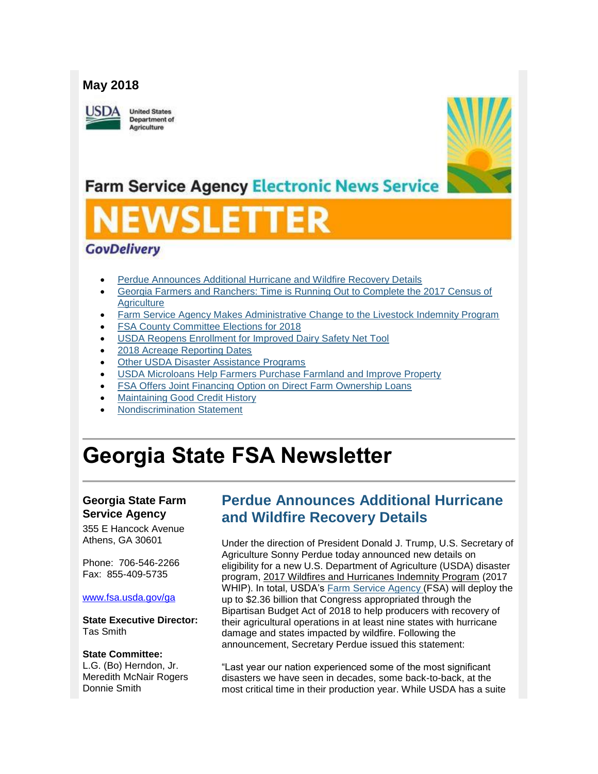#### **May 2018**

**ISDA** 

**United States** Department of Agriculture



## **Farm Service Agency Electronic News Service**

# SLETT

#### **GovDelivery**

- [Perdue Announces Additional Hurricane and Wildfire Recovery Details](#page-0-0)
- [Georgia Farmers and Ranchers: Time is Running Out to Complete the 2017 Census of](#page-2-0)  **Agriculture**
- [Farm Service Agency Makes Administrative Change to the Livestock Indemnity Program](#page-2-1)
- [FSA County Committee Elections for 2018](#page-3-0)
- [USDA Reopens Enrollment for Improved Dairy Safety Net Tool](#page-3-1)
- [2018 Acreage Reporting Dates](#page-4-0)
- [Other USDA Disaster Assistance Programs](#page-5-0)
- [USDA Microloans Help Farmers Purchase Farmland and Improve Property](#page-6-0)
- [FSA Offers Joint Financing Option on Direct Farm Ownership Loans](#page-6-1)
- [Maintaining Good Credit History](#page-7-0)
- [Nondiscrimination Statement](#page-7-1)

## **Georgia State FSA Newsletter**

#### **Georgia State Farm Service Agency**

355 E Hancock Avenue Athens, GA 30601

Phone: 706-546-2266 Fax: 855-409-5735

#### [www.fsa.usda.gov/ga](http://www.fsa.usda.gov/ga)

**State Executive Director:** Tas Smith

#### **State Committee:**

L.G. (Bo) Herndon, Jr. Meredith McNair Rogers Donnie Smith

## <span id="page-0-0"></span>**Perdue Announces Additional Hurricane and Wildfire Recovery Details**

Under the direction of President Donald J. Trump, U.S. Secretary of Agriculture Sonny Perdue today announced new details on eligibility for a new U.S. Department of Agriculture (USDA) disaster program, 2017 Wildfires and Hurricanes Indemnity Program (2017 WHIP). In total, USDA's [Farm Service Agency](http://www.fsa.usda.gov/) (FSA) will deploy the up to \$2.36 billion that Congress appropriated through the Bipartisan Budget Act of 2018 to help producers with recovery of their agricultural operations in at least nine states with hurricane damage and states impacted by wildfire. Following the announcement, Secretary Perdue issued this statement:

"Last year our nation experienced some of the most significant disasters we have seen in decades, some back-to-back, at the most critical time in their production year. While USDA has a suite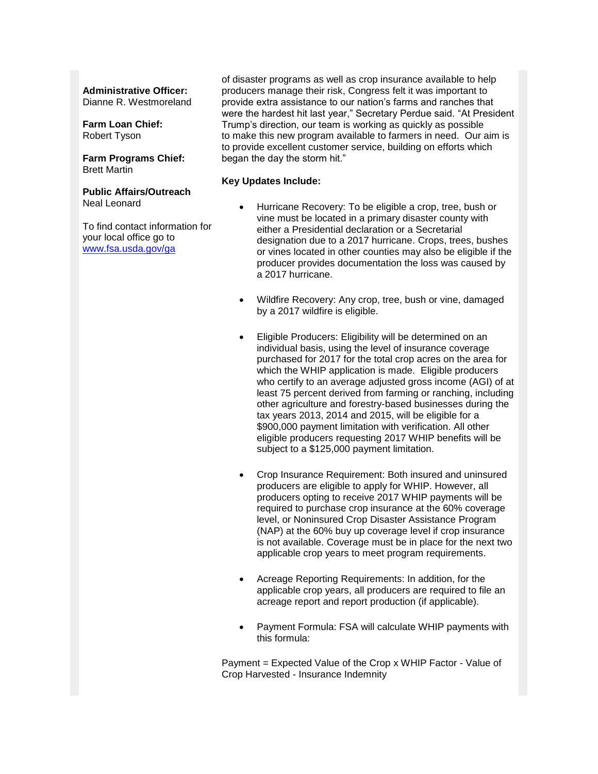#### **Administrative Officer:**

Dianne R. Westmoreland

**Farm Loan Chief:** Robert Tyson

#### **Farm Programs Chief:** Brett Martin

**Public Affairs/Outreach** Neal Leonard

To find contact information for your local office go to [www.fsa.usda.gov/ga](http://www.fsa.usda.gov/ga)

of disaster programs as well as crop insurance available to help producers manage their risk, Congress felt it was important to provide extra assistance to our nation's farms and ranches that were the hardest hit last year," Secretary Perdue said. "At President Trump's direction, our team is working as quickly as possible to make this new program available to farmers in need. Our aim is to provide excellent customer service, building on efforts which began the day the storm hit."

#### **Key Updates Include:**

- Hurricane Recovery: To be eligible a crop, tree, bush or vine must be located in a primary disaster county with either a Presidential declaration or a Secretarial designation due to a 2017 hurricane. Crops, trees, bushes or vines located in other counties may also be eligible if the producer provides documentation the loss was caused by a 2017 hurricane.
- Wildfire Recovery: Any crop, tree, bush or vine, damaged by a 2017 wildfire is eligible.
- Eligible Producers: Eligibility will be determined on an individual basis, using the level of insurance coverage purchased for 2017 for the total crop acres on the area for which the WHIP application is made. Eligible producers who certify to an average adjusted gross income (AGI) of at least 75 percent derived from farming or ranching, including other agriculture and forestry-based businesses during the tax years 2013, 2014 and 2015, will be eligible for a \$900,000 payment limitation with verification. All other eligible producers requesting 2017 WHIP benefits will be subject to a \$125,000 payment limitation.
- Crop Insurance Requirement: Both insured and uninsured producers are eligible to apply for WHIP. However, all producers opting to receive 2017 WHIP payments will be required to purchase crop insurance at the 60% coverage level, or Noninsured Crop Disaster Assistance Program (NAP) at the 60% buy up coverage level if crop insurance is not available. Coverage must be in place for the next two applicable crop years to meet program requirements.
- Acreage Reporting Requirements: In addition, for the applicable crop years, all producers are required to file an acreage report and report production (if applicable).
- Payment Formula: FSA will calculate WHIP payments with this formula:

Payment = Expected Value of the Crop x WHIP Factor - Value of Crop Harvested - Insurance Indemnity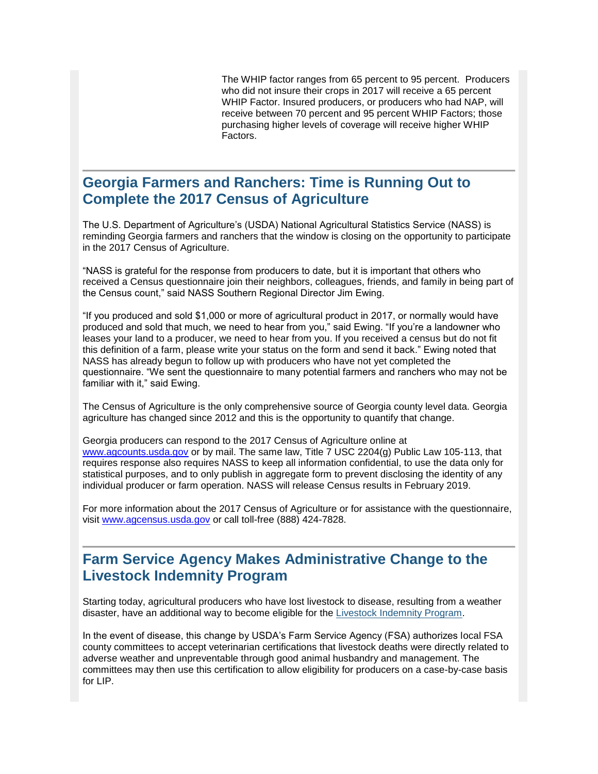The WHIP factor ranges from 65 percent to 95 percent. Producers who did not insure their crops in 2017 will receive a 65 percent WHIP Factor. Insured producers, or producers who had NAP, will receive between 70 percent and 95 percent WHIP Factors; those purchasing higher levels of coverage will receive higher WHIP Factors.

#### <span id="page-2-0"></span>**Georgia Farmers and Ranchers: Time is Running Out to Complete the 2017 Census of Agriculture**

The U.S. Department of Agriculture's (USDA) National Agricultural Statistics Service (NASS) is reminding Georgia farmers and ranchers that the window is closing on the opportunity to participate in the 2017 Census of Agriculture.

"NASS is grateful for the response from producers to date, but it is important that others who received a Census questionnaire join their neighbors, colleagues, friends, and family in being part of the Census count," said NASS Southern Regional Director Jim Ewing.

"If you produced and sold \$1,000 or more of agricultural product in 2017, or normally would have produced and sold that much, we need to hear from you," said Ewing. "If you're a landowner who leases your land to a producer, we need to hear from you. If you received a census but do not fit this definition of a farm, please write your status on the form and send it back." Ewing noted that NASS has already begun to follow up with producers who have not yet completed the questionnaire. "We sent the questionnaire to many potential farmers and ranchers who may not be familiar with it," said Ewing.

The Census of Agriculture is the only comprehensive source of Georgia county level data. Georgia agriculture has changed since 2012 and this is the opportunity to quantify that change.

Georgia producers can respond to the 2017 Census of Agriculture online at [www.agcounts.usda.gov](http://www.agcounts.usda.gov/) or by mail. The same law, Title 7 USC 2204(g) Public Law 105-113, that requires response also requires NASS to keep all information confidential, to use the data only for statistical purposes, and to only publish in aggregate form to prevent disclosing the identity of any individual producer or farm operation. NASS will release Census results in February 2019.

For more information about the 2017 Census of Agriculture or for assistance with the questionnaire, visit [www.agcensus.usda.gov](http://www.agcensus.usda.gov/) or call toll-free (888) 424-7828.

#### <span id="page-2-1"></span>**Farm Service Agency Makes Administrative Change to the Livestock Indemnity Program**

Starting today, agricultural producers who have lost livestock to disease, resulting from a weather disaster, have an additional way to become eligible for the [Livestock Indemnity Program.](https://www.fsa.usda.gov/programs-and-services/disaster-assistance-program/livestock-indemnity/index)

In the event of disease, this change by USDA's Farm Service Agency (FSA) authorizes local FSA county committees to accept veterinarian certifications that livestock deaths were directly related to adverse weather and unpreventable through good animal husbandry and management. The committees may then use this certification to allow eligibility for producers on a case-by-case basis for LIP.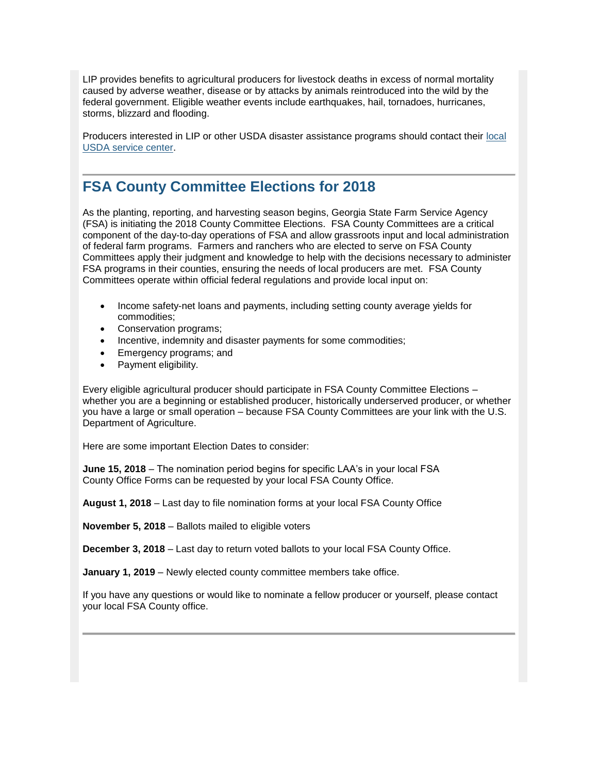LIP provides benefits to agricultural producers for livestock deaths in excess of normal mortality caused by adverse weather, disease or by attacks by animals reintroduced into the wild by the federal government. Eligible weather events include earthquakes, hail, tornadoes, hurricanes, storms, blizzard and flooding.

Producers interested in LIP or other USDA disaster assistance programs should contact their [local](https://www.farmers.gov/service-locator?field_counties_served_target_id=All)  [USDA service center.](https://www.farmers.gov/service-locator?field_counties_served_target_id=All)

#### <span id="page-3-0"></span>**FSA County Committee Elections for 2018**

As the planting, reporting, and harvesting season begins, Georgia State Farm Service Agency (FSA) is initiating the 2018 County Committee Elections. FSA County Committees are a critical component of the day-to-day operations of FSA and allow grassroots input and local administration of federal farm programs. Farmers and ranchers who are elected to serve on FSA County Committees apply their judgment and knowledge to help with the decisions necessary to administer FSA programs in their counties, ensuring the needs of local producers are met. FSA County Committees operate within official federal regulations and provide local input on:

- Income safety-net loans and payments, including setting county average yields for commodities;
- Conservation programs;
- Incentive, indemnity and disaster payments for some commodities;
- Emergency programs; and
- Payment eligibility.

Every eligible agricultural producer should participate in FSA County Committee Elections – whether you are a beginning or established producer, historically underserved producer, or whether you have a large or small operation – because FSA County Committees are your link with the U.S. Department of Agriculture.

Here are some important Election Dates to consider:

**June 15, 2018** – The nomination period begins for specific LAA's in your local FSA County Office Forms can be requested by your local FSA County Office.

**August 1, 2018** – Last day to file nomination forms at your local FSA County Office

**November 5, 2018** – Ballots mailed to eligible voters

**December 3, 2018** – Last day to return voted ballots to your local FSA County Office.

**January 1, 2019** – Newly elected county committee members take office.

<span id="page-3-1"></span>If you have any questions or would like to nominate a fellow producer or yourself, please contact your local FSA County office.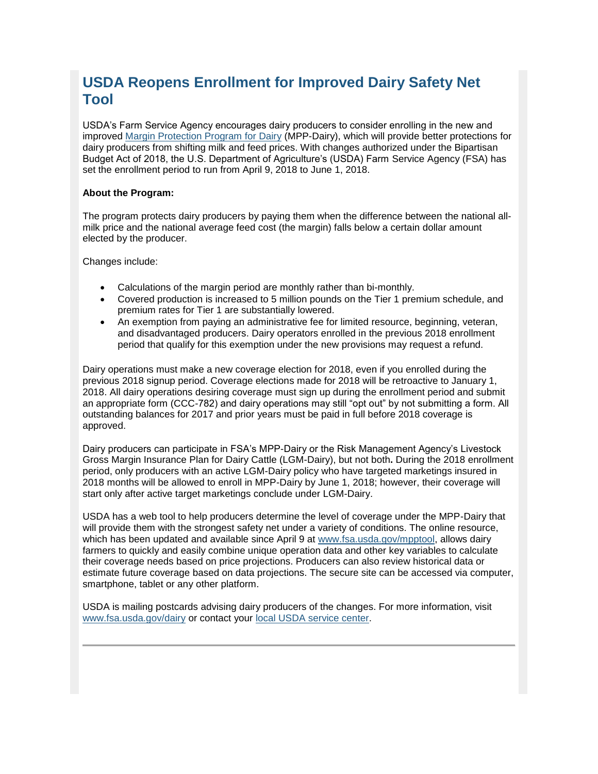## **USDA Reopens Enrollment for Improved Dairy Safety Net Tool**

USDA's Farm Service Agency encourages dairy producers to consider enrolling in the new and improved [Margin Protection Program for Dairy](http://www.fsa.usda.gov/dairy) (MPP-Dairy), which will provide better protections for dairy producers from shifting milk and feed prices. With changes authorized under the Bipartisan Budget Act of 2018, the U.S. Department of Agriculture's (USDA) Farm Service Agency (FSA) has set the enrollment period to run from April 9, 2018 to June 1, 2018.

#### **About the Program:**

The program protects dairy producers by paying them when the difference between the national allmilk price and the national average feed cost (the margin) falls below a certain dollar amount elected by the producer.

Changes include:

- Calculations of the margin period are monthly rather than bi-monthly.
- Covered production is increased to 5 million pounds on the Tier 1 premium schedule, and premium rates for Tier 1 are substantially lowered.
- An exemption from paying an administrative fee for limited resource, beginning, veteran, and disadvantaged producers. Dairy operators enrolled in the previous 2018 enrollment period that qualify for this exemption under the new provisions may request a refund.

Dairy operations must make a new coverage election for 2018, even if you enrolled during the previous 2018 signup period. Coverage elections made for 2018 will be retroactive to January 1, 2018. All dairy operations desiring coverage must sign up during the enrollment period and submit an appropriate form (CCC-782) and dairy operations may still "opt out" by not submitting a form. All outstanding balances for 2017 and prior years must be paid in full before 2018 coverage is approved.

Dairy producers can participate in FSA's MPP-Dairy or the Risk Management Agency's Livestock Gross Margin Insurance Plan for Dairy Cattle (LGM-Dairy), but not both**.** During the 2018 enrollment period, only producers with an active LGM-Dairy policy who have targeted marketings insured in 2018 months will be allowed to enroll in MPP-Dairy by June 1, 2018; however, their coverage will start only after active target marketings conclude under LGM-Dairy.

USDA has a web tool to help producers determine the level of coverage under the MPP-Dairy that will provide them with the strongest safety net under a variety of conditions. The online resource, which has been updated and available since April 9 at [www.fsa.usda.gov/mpptool,](http://www.fsa.usda.gov/mpptool) allows dairy farmers to quickly and easily combine unique operation data and other key variables to calculate their coverage needs based on price projections. Producers can also review historical data or estimate future coverage based on data projections. The secure site can be accessed via computer, smartphone, tablet or any other platform.

<span id="page-4-0"></span>USDA is mailing postcards advising dairy producers of the changes. For more information, visit [www.fsa.usda.gov/dairy](http://www.fsa.usda.gov/dairy) or contact your [local USDA service center.](http://offices.usda.gov/)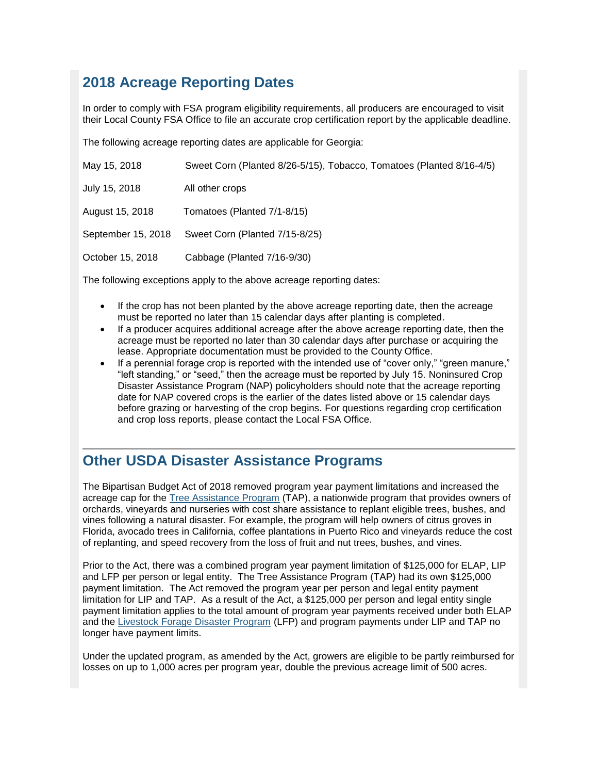## **2018 Acreage Reporting Dates**

In order to comply with FSA program eligibility requirements, all producers are encouraged to visit their Local County FSA Office to file an accurate crop certification report by the applicable deadline.

The following acreage reporting dates are applicable for Georgia:

| May 15, 2018       | Sweet Corn (Planted 8/26-5/15), Tobacco, Tomatoes (Planted 8/16-4/5) |
|--------------------|----------------------------------------------------------------------|
| July 15, 2018      | All other crops                                                      |
| August 15, 2018    | Tomatoes (Planted 7/1-8/15)                                          |
| September 15, 2018 | Sweet Corn (Planted 7/15-8/25)                                       |
| October 15, 2018   | Cabbage (Planted 7/16-9/30)                                          |

The following exceptions apply to the above acreage reporting dates:

- If the crop has not been planted by the above acreage reporting date, then the acreage must be reported no later than 15 calendar days after planting is completed.
- If a producer acquires additional acreage after the above acreage reporting date, then the acreage must be reported no later than 30 calendar days after purchase or acquiring the lease. Appropriate documentation must be provided to the County Office.
- If a perennial forage crop is reported with the intended use of "cover only," "green manure," "left standing," or "seed," then the acreage must be reported by July 15. Noninsured Crop Disaster Assistance Program (NAP) policyholders should note that the acreage reporting date for NAP covered crops is the earlier of the dates listed above or 15 calendar days before grazing or harvesting of the crop begins. For questions regarding crop certification and crop loss reports, please contact the Local FSA Office.

## <span id="page-5-0"></span>**Other USDA Disaster Assistance Programs**

The Bipartisan Budget Act of 2018 removed program year payment limitations and increased the acreage cap for the [Tree Assistance Program](https://www.fsa.usda.gov/programs-and-services/disaster-assistance-program/tree-assistance-program/index) (TAP), a nationwide program that provides owners of orchards, vineyards and nurseries with cost share assistance to replant eligible trees, bushes, and vines following a natural disaster. For example, the program will help owners of citrus groves in Florida, avocado trees in California, coffee plantations in Puerto Rico and vineyards reduce the cost of replanting, and speed recovery from the loss of fruit and nut trees, bushes, and vines.

Prior to the Act, there was a combined program year payment limitation of \$125,000 for ELAP, LIP and LFP per person or legal entity. The Tree Assistance Program (TAP) had its own \$125,000 payment limitation. The Act removed the program year per person and legal entity payment limitation for LIP and TAP. As a result of the Act, a \$125,000 per person and legal entity single payment limitation applies to the total amount of program year payments received under both ELAP and the [Livestock Forage Disaster Program](https://www.fsa.usda.gov/programs-and-services/disaster-assistance-program/livestock-forage/index) (LFP) and program payments under LIP and TAP no longer have payment limits.

Under the updated program, as amended by the Act, growers are eligible to be partly reimbursed for losses on up to 1,000 acres per program year, double the previous acreage limit of 500 acres.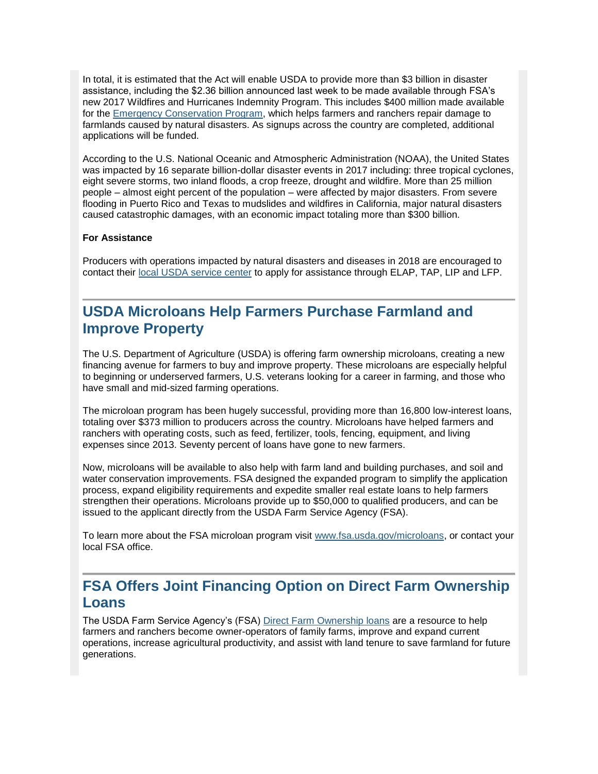In total, it is estimated that the Act will enable USDA to provide more than \$3 billion in disaster assistance, including the \$2.36 billion announced last week to be made available through FSA's new 2017 Wildfires and Hurricanes Indemnity Program. This includes \$400 million made available for the [Emergency Conservation Program,](https://www.fsa.usda.gov/programs-and-services/conservation-programs/emergency-conservation/index) which helps farmers and ranchers repair damage to farmlands caused by natural disasters. As signups across the country are completed, additional applications will be funded.

According to the U.S. National Oceanic and Atmospheric Administration (NOAA), the United States was impacted by 16 separate billion-dollar disaster events in 2017 including: three tropical cyclones, eight severe storms, two inland floods, a crop freeze, drought and wildfire. More than 25 million people – almost eight percent of the population – were affected by major disasters. From severe flooding in Puerto Rico and Texas to mudslides and wildfires in California, major natural disasters caused catastrophic damages, with an economic impact totaling more than \$300 billion.

#### **For Assistance**

Producers with operations impacted by natural disasters and diseases in 2018 are encouraged to contact their [local USDA service center](https://www.farmers.gov/service-locator?field_counties_served_target_id=All) to apply for assistance through ELAP, TAP, LIP and LFP.

## <span id="page-6-0"></span>**USDA Microloans Help Farmers Purchase Farmland and Improve Property**

The U.S. Department of Agriculture (USDA) is offering farm ownership microloans, creating a new financing avenue for farmers to buy and improve property. These microloans are especially helpful to beginning or underserved farmers, U.S. veterans looking for a career in farming, and those who have small and mid-sized farming operations.

The microloan program has been hugely successful, providing more than 16,800 low-interest loans, totaling over \$373 million to producers across the country. Microloans have helped farmers and ranchers with operating costs, such as feed, fertilizer, tools, fencing, equipment, and living expenses since 2013. Seventy percent of loans have gone to new farmers.

Now, microloans will be available to also help with farm land and building purchases, and soil and water conservation improvements. FSA designed the expanded program to simplify the application process, expand eligibility requirements and expedite smaller real estate loans to help farmers strengthen their operations. Microloans provide up to \$50,000 to qualified producers, and can be issued to the applicant directly from the USDA Farm Service Agency (FSA).

To learn more about the FSA microloan program visit [www.fsa.usda.gov/microloans,](http://www.fsa.usda.gov/microloans) or contact your local FSA office.

### <span id="page-6-1"></span>**FSA Offers Joint Financing Option on Direct Farm Ownership Loans**

The USDA Farm Service Agency's (FSA) [Direct Farm Ownership loans](https://www.fsa.usda.gov/programs-and-services/farm-loan-programs/farm-ownership-loans/index) are a resource to help farmers and ranchers become owner-operators of family farms, improve and expand current operations, increase agricultural productivity, and assist with land tenure to save farmland for future generations.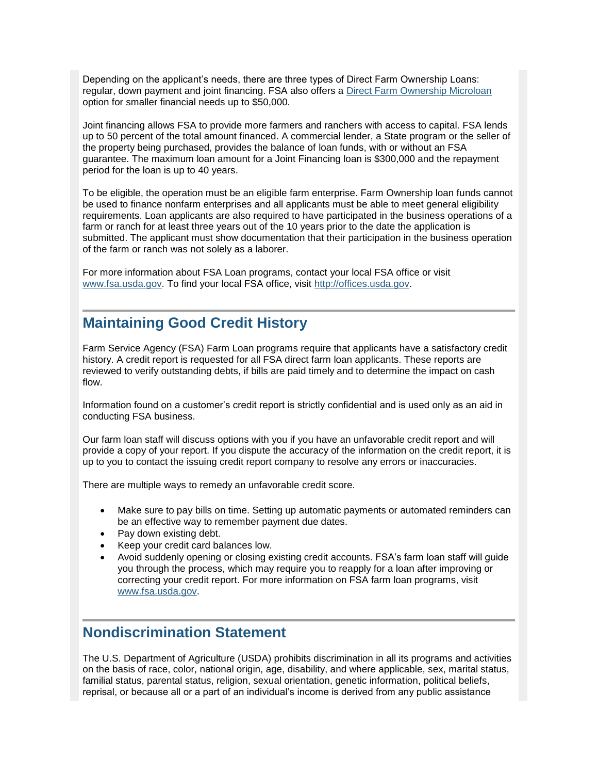Depending on the applicant's needs, there are three types of Direct Farm Ownership Loans: regular, down payment and joint financing. FSA also offers a [Direct Farm Ownership Microloan](https://www.fsa.usda.gov/programs-and-services/farm-loan-programs/microloans/index) option for smaller financial needs up to \$50,000.

Joint financing allows FSA to provide more farmers and ranchers with access to capital. FSA lends up to 50 percent of the total amount financed. A commercial lender, a State program or the seller of the property being purchased, provides the balance of loan funds, with or without an FSA guarantee. The maximum loan amount for a Joint Financing loan is \$300,000 and the repayment period for the loan is up to 40 years.

To be eligible, the operation must be an eligible farm enterprise. Farm Ownership loan funds cannot be used to finance nonfarm enterprises and all applicants must be able to meet general eligibility requirements. Loan applicants are also required to have participated in the business operations of a farm or ranch for at least three years out of the 10 years prior to the date the application is submitted. The applicant must show documentation that their participation in the business operation of the farm or ranch was not solely as a laborer.

For more information about FSA Loan programs, contact your local FSA office or visit [www.fsa.usda.gov.](http://www.fsa.usda.gov/) To find your local FSA office, visit [http://offices.usda.gov.](http://offices.usda.gov/)

#### <span id="page-7-0"></span>**Maintaining Good Credit History**

Farm Service Agency (FSA) Farm Loan programs require that applicants have a satisfactory credit history. A credit report is requested for all FSA direct farm loan applicants. These reports are reviewed to verify outstanding debts, if bills are paid timely and to determine the impact on cash flow.

Information found on a customer's credit report is strictly confidential and is used only as an aid in conducting FSA business.

Our farm loan staff will discuss options with you if you have an unfavorable credit report and will provide a copy of your report. If you dispute the accuracy of the information on the credit report, it is up to you to contact the issuing credit report company to resolve any errors or inaccuracies.

There are multiple ways to remedy an unfavorable credit score.

- Make sure to pay bills on time. Setting up automatic payments or automated reminders can be an effective way to remember payment due dates.
- Pay down existing debt.
- Keep your credit card balances low.
- Avoid suddenly opening or closing existing credit accounts. FSA's farm loan staff will guide you through the process, which may require you to reapply for a loan after improving or correcting your credit report. For more information on FSA farm loan programs, visit [www.fsa.usda.gov.](http://www.fsa.usda.gov/)

## <span id="page-7-1"></span>**Nondiscrimination Statement**

The U.S. Department of Agriculture (USDA) prohibits discrimination in all its programs and activities on the basis of race, color, national origin, age, disability, and where applicable, sex, marital status, familial status, parental status, religion, sexual orientation, genetic information, political beliefs, reprisal, or because all or a part of an individual's income is derived from any public assistance